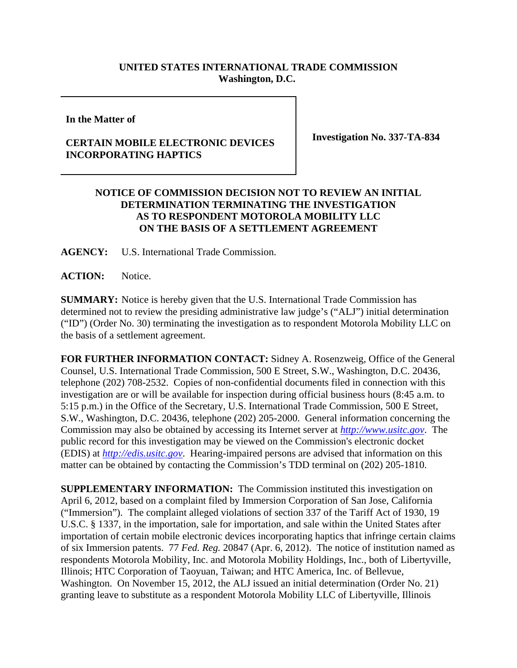## **UNITED STATES INTERNATIONAL TRADE COMMISSION Washington, D.C.**

**In the Matter of**

## **CERTAIN MOBILE ELECTRONIC DEVICES INCORPORATING HAPTICS**

**Investigation No. 337-TA-834**

## **NOTICE OF COMMISSION DECISION NOT TO REVIEW AN INITIAL DETERMINATION TERMINATING THE INVESTIGATION AS TO RESPONDENT MOTOROLA MOBILITY LLC ON THE BASIS OF A SETTLEMENT AGREEMENT**

**AGENCY:** U.S. International Trade Commission.

**ACTION:** Notice.

**SUMMARY:** Notice is hereby given that the U.S. International Trade Commission has determined not to review the presiding administrative law judge's ("ALJ") initial determination ("ID") (Order No. 30) terminating the investigation as to respondent Motorola Mobility LLC on the basis of a settlement agreement.

**FOR FURTHER INFORMATION CONTACT:** Sidney A. Rosenzweig, Office of the General Counsel, U.S. International Trade Commission, 500 E Street, S.W., Washington, D.C. 20436, telephone (202) 708-2532. Copies of non-confidential documents filed in connection with this investigation are or will be available for inspection during official business hours (8:45 a.m. to 5:15 p.m.) in the Office of the Secretary, U.S. International Trade Commission, 500 E Street, S.W., Washington, D.C. 20436, telephone (202) 205-2000. General information concerning the Commission may also be obtained by accessing its Internet server at *http://www.usitc.gov*. The public record for this investigation may be viewed on the Commission's electronic docket (EDIS) at *http://edis.usitc.gov*. Hearing-impaired persons are advised that information on this matter can be obtained by contacting the Commission's TDD terminal on (202) 205-1810.

**SUPPLEMENTARY INFORMATION:** The Commission instituted this investigation on April 6, 2012, based on a complaint filed by Immersion Corporation of San Jose, California ("Immersion"). The complaint alleged violations of section 337 of the Tariff Act of 1930, 19 U.S.C. § 1337, in the importation, sale for importation, and sale within the United States after importation of certain mobile electronic devices incorporating haptics that infringe certain claims of six Immersion patents. 77 *Fed. Reg.* 20847 (Apr. 6, 2012). The notice of institution named as respondents Motorola Mobility, Inc. and Motorola Mobility Holdings, Inc., both of Libertyville, Illinois; HTC Corporation of Taoyuan, Taiwan; and HTC America, Inc. of Bellevue, Washington. On November 15, 2012, the ALJ issued an initial determination (Order No. 21) granting leave to substitute as a respondent Motorola Mobility LLC of Libertyville, Illinois